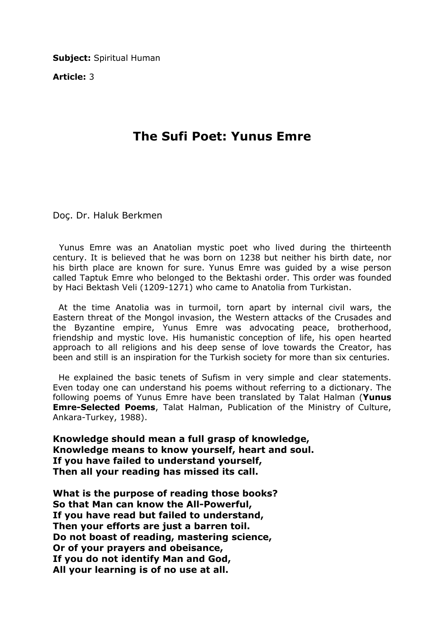Subject: Spiritual Human

Article: 3

## The Sufi Poet: Yunus Emre

Doç. Dr. Haluk Berkmen

 Yunus Emre was an Anatolian mystic poet who lived during the thirteenth century. It is believed that he was born on 1238 but neither his birth date, nor his birth place are known for sure. Yunus Emre was guided by a wise person called Taptuk Emre who belonged to the Bektashi order. This order was founded by Haci Bektash Veli (1209-1271) who came to Anatolia from Turkistan.

 At the time Anatolia was in turmoil, torn apart by internal civil wars, the Eastern threat of the Mongol invasion, the Western attacks of the Crusades and the Byzantine empire, Yunus Emre was advocating peace, brotherhood, friendship and mystic love. His humanistic conception of life, his open hearted approach to all religions and his deep sense of love towards the Creator, has been and still is an inspiration for the Turkish society for more than six centuries.

 He explained the basic tenets of Sufism in very simple and clear statements. Even today one can understand his poems without referring to a dictionary. The following poems of Yunus Emre have been translated by Talat Halman (Yunus Emre-Selected Poems, Talat Halman, Publication of the Ministry of Culture, Ankara-Turkey, 1988).

Knowledge should mean a full grasp of knowledge, Knowledge means to know yourself, heart and soul. If you have failed to understand yourself, Then all your reading has missed its call.

What is the purpose of reading those books? So that Man can know the All-Powerful, If you have read but failed to understand, Then your efforts are just a barren toil. Do not boast of reading, mastering science, Or of your prayers and obeisance, If you do not identify Man and God, All your learning is of no use at all.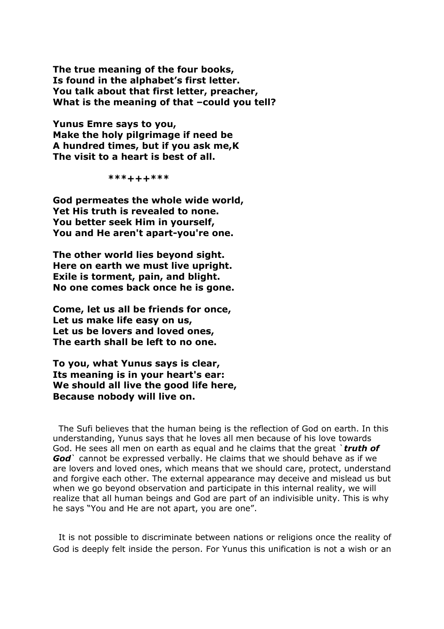The true meaning of the four books, Is found in the alphabet's first letter. You talk about that first letter, preacher, What is the meaning of that -could you tell?

Yunus Emre says to you, Make the holy pilgrimage if need be A hundred times, but if you ask me,K The visit to a heart is best of all.

\*\*\*+++\*\*\*

God permeates the whole wide world, Yet His truth is revealed to none. You better seek Him in yourself, You and He aren't apart-you're one.

The other world lies beyond sight. Here on earth we must live upright. Exile is torment, pain, and blight. No one comes back once he is gone.

Come, let us all be friends for once, Let us make life easy on us, Let us be lovers and loved ones, The earth shall be left to no one.

To you, what Yunus says is clear, Its meaning is in your heart's ear: We should all live the good life here, Because nobody will live on.

 The Sufi believes that the human being is the reflection of God on earth. In this understanding, Yunus says that he loves all men because of his love towards God. He sees all men on earth as equal and he claims that the great `truth of God cannot be expressed verbally. He claims that we should behave as if we are lovers and loved ones, which means that we should care, protect, understand and forgive each other. The external appearance may deceive and mislead us but when we go beyond observation and participate in this internal reality, we will realize that all human beings and God are part of an indivisible unity. This is why he says "You and He are not apart, you are one".

 It is not possible to discriminate between nations or religions once the reality of God is deeply felt inside the person. For Yunus this unification is not a wish or an